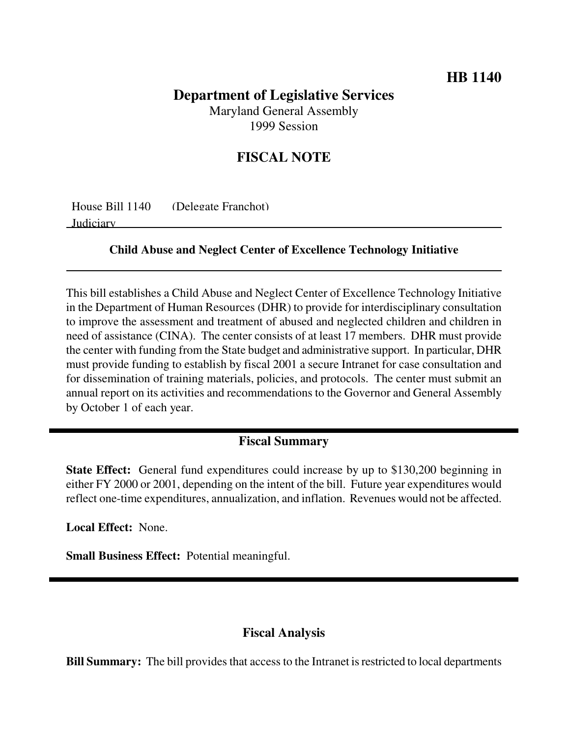# **Department of Legislative Services**

Maryland General Assembly 1999 Session

## **FISCAL NOTE**

| House Bill 1140 | (Delegate Franchot) |
|-----------------|---------------------|
| Judiciary       |                     |

#### **Child Abuse and Neglect Center of Excellence Technology Initiative**

This bill establishes a Child Abuse and Neglect Center of Excellence Technology Initiative in the Department of Human Resources (DHR) to provide for interdisciplinary consultation to improve the assessment and treatment of abused and neglected children and children in need of assistance (CINA). The center consists of at least 17 members. DHR must provide the center with funding from the State budget and administrative support. In particular, DHR must provide funding to establish by fiscal 2001 a secure Intranet for case consultation and for dissemination of training materials, policies, and protocols. The center must submit an annual report on its activities and recommendations to the Governor and General Assembly by October 1 of each year.

### **Fiscal Summary**

**State Effect:** General fund expenditures could increase by up to \$130,200 beginning in either FY 2000 or 2001, depending on the intent of the bill. Future year expenditures would reflect one-time expenditures, annualization, and inflation. Revenues would not be affected.

**Local Effect:** None.

**Small Business Effect:** Potential meaningful.

#### **Fiscal Analysis**

**Bill Summary:** The bill provides that access to the Intranet is restricted to local departments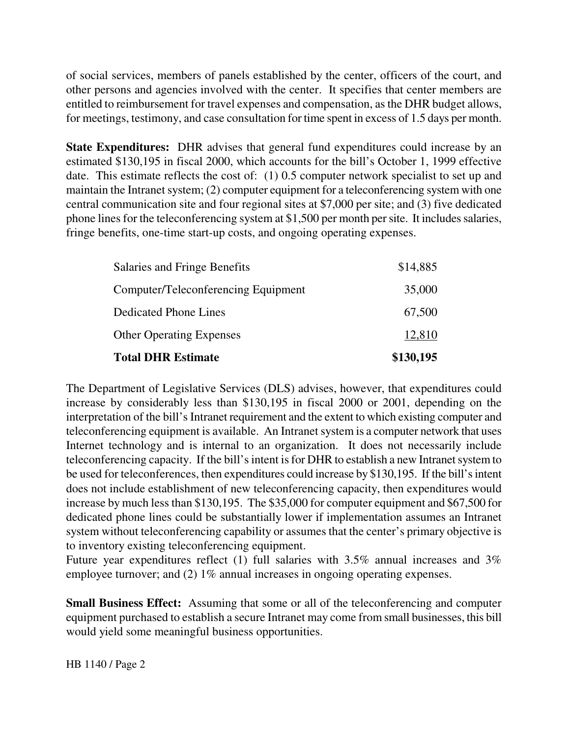of social services, members of panels established by the center, officers of the court, and other persons and agencies involved with the center. It specifies that center members are entitled to reimbursement for travel expenses and compensation, as the DHR budget allows, for meetings, testimony, and case consultation for time spent in excess of 1.5 days per month.

**State Expenditures:** DHR advises that general fund expenditures could increase by an estimated \$130,195 in fiscal 2000, which accounts for the bill's October 1, 1999 effective date. This estimate reflects the cost of: (1) 0.5 computer network specialist to set up and maintain the Intranet system; (2) computer equipment for a teleconferencing system with one central communication site and four regional sites at \$7,000 per site; and (3) five dedicated phone lines for the teleconferencing system at \$1,500 per month per site. It includes salaries, fringe benefits, one-time start-up costs, and ongoing operating expenses.

| <b>Total DHR Estimate</b>           | \$130,195 |
|-------------------------------------|-----------|
| <b>Other Operating Expenses</b>     | 12,810    |
| <b>Dedicated Phone Lines</b>        | 67,500    |
| Computer/Teleconferencing Equipment | 35,000    |
| Salaries and Fringe Benefits        | \$14,885  |

The Department of Legislative Services (DLS) advises, however, that expenditures could increase by considerably less than \$130,195 in fiscal 2000 or 2001, depending on the interpretation of the bill's Intranet requirement and the extent to which existing computer and teleconferencing equipment is available. An Intranet system is a computer network that uses Internet technology and is internal to an organization. It does not necessarily include teleconferencing capacity. If the bill's intent is for DHR to establish a new Intranet system to be used for teleconferences, then expenditures could increase by \$130,195. If the bill's intent does not include establishment of new teleconferencing capacity, then expenditures would increase by much less than \$130,195. The \$35,000 for computer equipment and \$67,500 for dedicated phone lines could be substantially lower if implementation assumes an Intranet system without teleconferencing capability or assumes that the center's primary objective is to inventory existing teleconferencing equipment.

Future year expenditures reflect (1) full salaries with 3.5% annual increases and 3% employee turnover; and (2) 1% annual increases in ongoing operating expenses.

**Small Business Effect:** Assuming that some or all of the teleconferencing and computer equipment purchased to establish a secure Intranet may come from small businesses, this bill would yield some meaningful business opportunities.

HB 1140 / Page 2